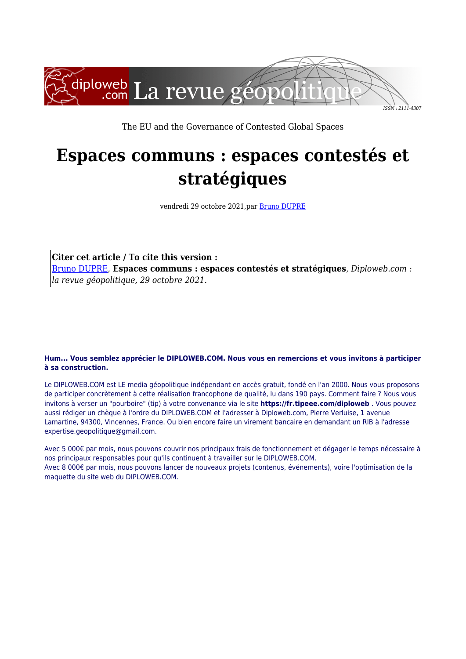

The EU and the Governance of Contested Global Spaces

## **Espaces communs : espaces contestés et stratégiques**

vendredi 29 octobre 2021,par [Bruno DUPRE](https://www.diploweb.com/_Bruno-DUPRE_.html)

**Citer cet article / To cite this version :** [Bruno DUPRE,](https://www.diploweb.com/_Bruno-DUPRE_.html) **Espaces communs : espaces contestés et stratégiques**, *Diploweb.com : la revue géopolitique, 29 octobre 2021.*

## **Hum... Vous semblez apprécier le DIPLOWEB.COM. Nous vous en remercions et vous invitons à participer à sa construction.**

Le DIPLOWEB.COM est LE media géopolitique indépendant en accès gratuit, fondé en l'an 2000. Nous vous proposons de participer concrètement à cette réalisation francophone de qualité, lu dans 190 pays. Comment faire ? Nous vous invitons à verser un "pourboire" (tip) à votre convenance via le site **https://fr.tipeee.com/diploweb** . Vous pouvez aussi rédiger un chèque à l'ordre du DIPLOWEB.COM et l'adresser à Diploweb.com, Pierre Verluise, 1 avenue Lamartine, 94300, Vincennes, France. Ou bien encore faire un virement bancaire en demandant un RIB à l'adresse expertise.geopolitique@gmail.com.

Avec 5 000€ par mois, nous pouvons couvrir nos principaux frais de fonctionnement et dégager le temps nécessaire à nos principaux responsables pour qu'ils continuent à travailler sur le DIPLOWEB.COM. Avec 8 000€ par mois, nous pouvons lancer de nouveaux projets (contenus, événements), voire l'optimisation de la maquette du site web du DIPLOWEB.COM.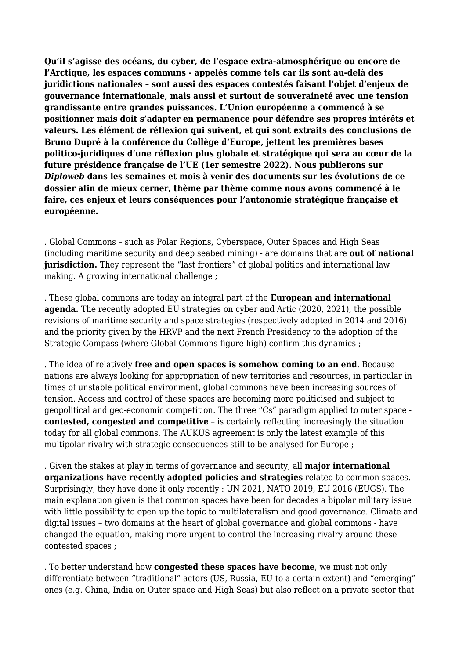**Qu'il s'agisse des océans, du cyber, de l'espace extra-atmosphérique ou encore de l'Arctique, les espaces communs - appelés comme tels car ils sont au-delà des juridictions nationales – sont aussi des espaces contestés faisant l'objet d'enjeux de gouvernance internationale, mais aussi et surtout de souveraineté avec une tension grandissante entre grandes puissances. L'Union européenne a commencé à se positionner mais doit s'adapter en permanence pour défendre ses propres intérêts et valeurs. Les élément de réflexion qui suivent, et qui sont extraits des conclusions de Bruno Dupré à la conférence du Collège d'Europe, jettent les premières bases politico-juridiques d'une réflexion plus globale et stratégique qui sera au cœur de la future présidence française de l'UE (1er semestre 2022). Nous publierons sur** *Diploweb* **dans les semaines et mois à venir des documents sur les évolutions de ce dossier afin de mieux cerner, thème par thème comme nous avons commencé à le faire, ces enjeux et leurs conséquences pour l'autonomie stratégique française et européenne.**

. Global Commons – such as Polar Regions, Cyberspace, Outer Spaces and High Seas (including maritime security and deep seabed mining) - are domains that are **out of national jurisdiction.** They represent the "last frontiers" of global politics and international law making. A growing international challenge ;

. These global commons are today an integral part of the **European and international agenda.** The recently adopted EU strategies on cyber and Artic (2020, 2021), the possible revisions of maritime security and space strategies (respectively adopted in 2014 and 2016) and the priority given by the HRVP and the next French Presidency to the adoption of the Strategic Compass (where Global Commons figure high) confirm this dynamics ;

. The idea of relatively **free and open spaces is somehow coming to an end**. Because nations are always looking for appropriation of new territories and resources, in particular in times of unstable political environment, global commons have been increasing sources of tension. Access and control of these spaces are becoming more politicised and subject to geopolitical and geo-economic competition. The three "Cs" paradigm applied to outer space **contested, congested and competitive** – is certainly reflecting increasingly the situation today for all global commons. The AUKUS agreement is only the latest example of this multipolar rivalry with strategic consequences still to be analysed for Europe ;

. Given the stakes at play in terms of governance and security, all **major international organizations have recently adopted policies and strategies** related to common spaces. Surprisingly, they have done it only recently : UN 2021, NATO 2019, EU 2016 (EUGS). The main explanation given is that common spaces have been for decades a bipolar military issue with little possibility to open up the topic to multilateralism and good governance. Climate and digital issues – two domains at the heart of global governance and global commons - have changed the equation, making more urgent to control the increasing rivalry around these contested spaces ;

. To better understand how **congested these spaces have become**, we must not only differentiate between "traditional" actors (US, Russia, EU to a certain extent) and "emerging" ones (e.g. China, India on Outer space and High Seas) but also reflect on a private sector that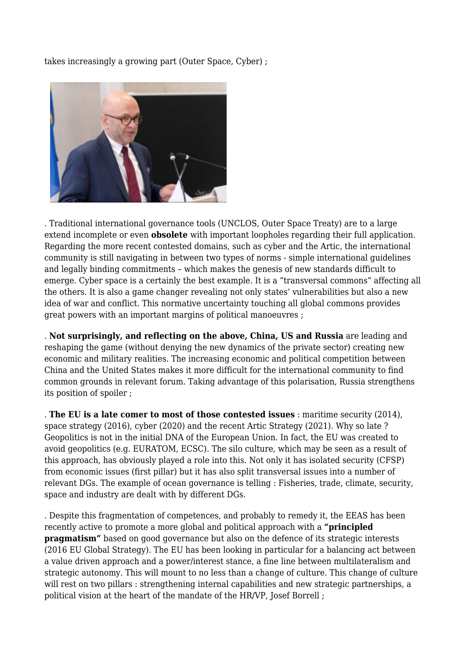takes increasingly a growing part (Outer Space, Cyber) ;



. Traditional international governance tools (UNCLOS, Outer Space Treaty) are to a large extend incomplete or even **obsolete** with important loopholes regarding their full application. Regarding the more recent contested domains, such as cyber and the Artic, the international community is still navigating in between two types of norms - simple international guidelines and legally binding commitments – which makes the genesis of new standards difficult to emerge. Cyber space is a certainly the best example. It is a "transversal commons" affecting all the others. It is also a game changer revealing not only states' vulnerabilities but also a new idea of war and conflict. This normative uncertainty touching all global commons provides great powers with an important margins of political manoeuvres ;

. **Not surprisingly, and reflecting on the above, China, US and Russia** are leading and reshaping the game (without denying the new dynamics of the private sector) creating new economic and military realities. The increasing economic and political competition between China and the United States makes it more difficult for the international community to find common grounds in relevant forum. Taking advantage of this polarisation, Russia strengthens its position of spoiler ;

. **The EU is a late comer to most of those contested issues** : maritime security (2014), space strategy (2016), cyber (2020) and the recent Artic Strategy (2021). Why so late ? Geopolitics is not in the initial DNA of the European Union. In fact, the EU was created to avoid geopolitics (e.g. EURATOM, ECSC). The silo culture, which may be seen as a result of this approach, has obviously played a role into this. Not only it has isolated security (CFSP) from economic issues (first pillar) but it has also split transversal issues into a number of relevant DGs. The example of ocean governance is telling : Fisheries, trade, climate, security, space and industry are dealt with by different DGs.

. Despite this fragmentation of competences, and probably to remedy it, the EEAS has been recently active to promote a more global and political approach with a **"principled pragmatism"** based on good governance but also on the defence of its strategic interests (2016 EU Global Strategy). The EU has been looking in particular for a balancing act between a value driven approach and a power/interest stance, a fine line between multilateralism and strategic autonomy. This will mount to no less than a change of culture. This change of culture will rest on two pillars : strengthening internal capabilities and new strategic partnerships, a political vision at the heart of the mandate of the HR/VP, Josef Borrell ;